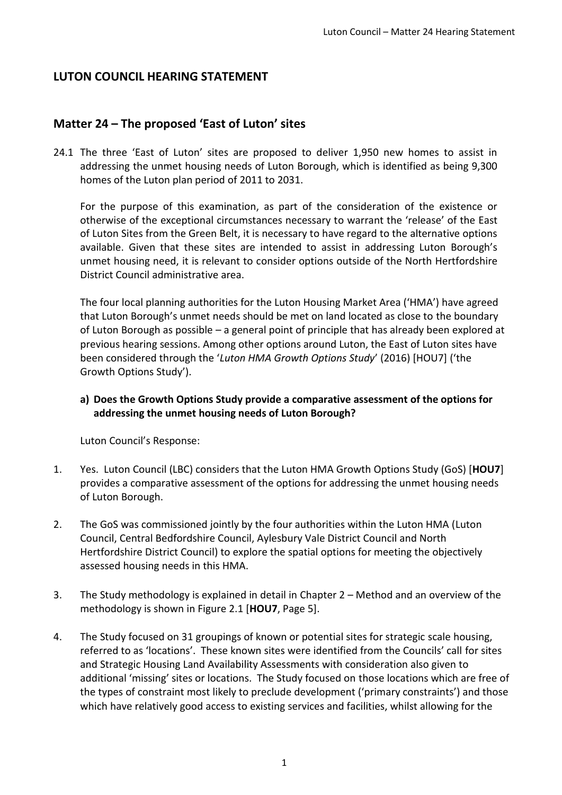## **LUTON COUNCIL HEARING STATEMENT**

## **Matter 24 – The proposed 'East of Luton' sites**

24.1 The three 'East of Luton' sites are proposed to deliver 1,950 new homes to assist in addressing the unmet housing needs of Luton Borough, which is identified as being 9,300 homes of the Luton plan period of 2011 to 2031.

For the purpose of this examination, as part of the consideration of the existence or otherwise of the exceptional circumstances necessary to warrant the 'release' of the East of Luton Sites from the Green Belt, it is necessary to have regard to the alternative options available. Given that these sites are intended to assist in addressing Luton Borough's unmet housing need, it is relevant to consider options outside of the North Hertfordshire District Council administrative area.

The four local planning authorities for the Luton Housing Market Area ('HMA') have agreed that Luton Borough's unmet needs should be met on land located as close to the boundary of Luton Borough as possible – a general point of principle that has already been explored at previous hearing sessions. Among other options around Luton, the East of Luton sites have been considered through the '*Luton HMA Growth Options Study*' (2016) [HOU7] ('the Growth Options Study').

## **a) Does the Growth Options Study provide a comparative assessment of the options for addressing the unmet housing needs of Luton Borough?**

- 1. Yes. Luton Council (LBC) considers that the Luton HMA Growth Options Study (GoS) [**HOU7**] provides a comparative assessment of the options for addressing the unmet housing needs of Luton Borough.
- 2. The GoS was commissioned jointly by the four authorities within the Luton HMA (Luton Council, Central Bedfordshire Council, Aylesbury Vale District Council and North Hertfordshire District Council) to explore the spatial options for meeting the objectively assessed housing needs in this HMA.
- 3. The Study methodology is explained in detail in Chapter 2 Method and an overview of the methodology is shown in Figure 2.1 [**HOU7**, Page 5].
- 4. The Study focused on 31 groupings of known or potential sites for strategic scale housing, referred to as 'locations'. These known sites were identified from the Councils' call for sites and Strategic Housing Land Availability Assessments with consideration also given to additional 'missing' sites or locations. The Study focused on those locations which are free of the types of constraint most likely to preclude development ('primary constraints') and those which have relatively good access to existing services and facilities, whilst allowing for the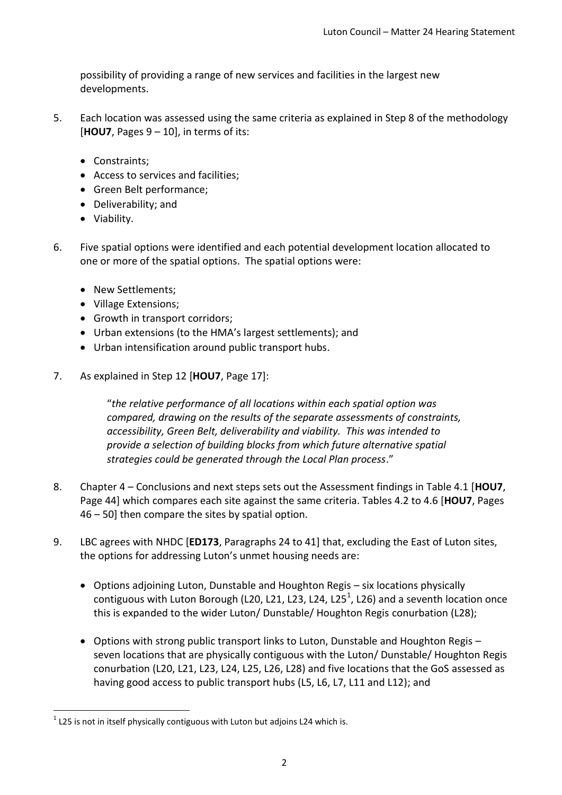possibility of providing a range of new services and facilities in the largest new developments.

- 5. Each location was assessed using the same criteria as explained in Step 8 of the methodology [**HOU7**, Pages 9 – 10], in terms of its:
	- Constraints:
	- Access to services and facilities;
	- Green Belt performance;
	- Deliverability; and
	- Viability.
- 6. Five spatial options were identified and each potential development location allocated to one or more of the spatial options. The spatial options were:
	- New Settlements;
	- Village Extensions;
	- Growth in transport corridors;
	- Urban extensions (to the HMA's largest settlements); and
	- Urban intensification around public transport hubs.
- 7. As explained in Step 12 [**HOU7**, Page 17]:

"*the relative performance of all locations within each spatial option was compared, drawing on the results of the separate assessments of constraints, accessibility, Green Belt, deliverability and viability. This was intended to provide a selection of building blocks from which future alternative spatial strategies could be generated through the Local Plan process*."

- 8. Chapter 4 Conclusions and next steps sets out the Assessment findings in Table 4.1 [**HOU7**, Page 44] which compares each site against the same criteria. Tables 4.2 to 4.6 [**HOU7**, Pages 46 – 50] then compare the sites by spatial option.
- 9. LBC agrees with NHDC [**ED173**, Paragraphs 24 to 41] that, excluding the East of Luton sites, the options for addressing Luton's unmet housing needs are:
	- Options adjoining Luton, Dunstable and Houghton Regis six locations physically contiguous with Luton Borough (L20, L21, L23, L24, L25<sup>1</sup>, L26) and a seventh location once this is expanded to the wider Luton/ Dunstable/ Houghton Regis conurbation (L28);
	- Options with strong public transport links to Luton, Dunstable and Houghton Regis seven locations that are physically contiguous with the Luton/ Dunstable/ Houghton Regis conurbation (L20, L21, L23, L24, L25, L26, L28) and five locations that the GoS assessed as having good access to public transport hubs (L5, L6, L7, L11 and L12); and

**<sup>.</sup>**  $^{1}$  L25 is not in itself physically contiguous with Luton but adjoins L24 which is.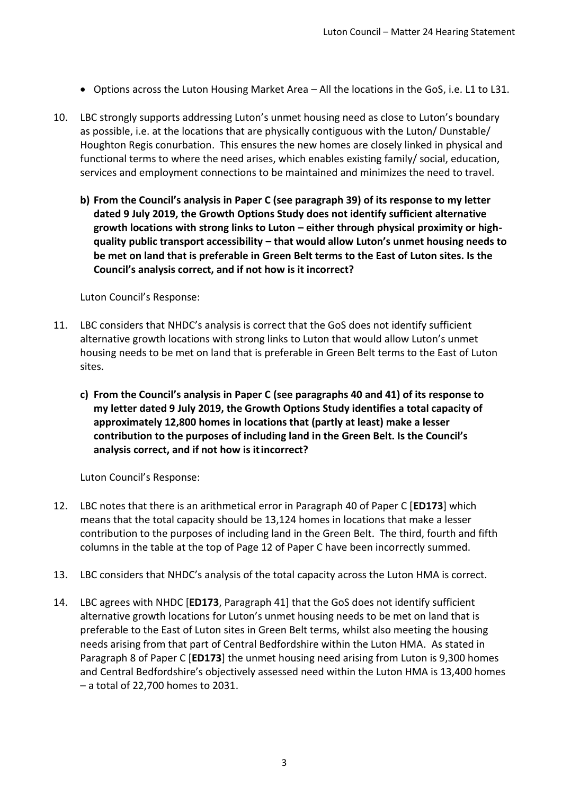- Options across the Luton Housing Market Area All the locations in the GoS, i.e. L1 to L31.
- 10. LBC strongly supports addressing Luton's unmet housing need as close to Luton's boundary as possible, i.e. at the locations that are physically contiguous with the Luton/ Dunstable/ Houghton Regis conurbation. This ensures the new homes are closely linked in physical and functional terms to where the need arises, which enables existing family/ social, education, services and employment connections to be maintained and minimizes the need to travel.
	- **b) From the Council's analysis in Paper C (see paragraph 39) of its response to my letter dated 9 July 2019, the Growth Options Study does not identify sufficient alternative growth locations with strong links to Luton – either through physical proximity or highquality public transport accessibility – that would allow Luton's unmet housing needs to be met on land that is preferable in Green Belt terms to the East of Luton sites. Is the Council's analysis correct, and if not how is it incorrect?**

Luton Council's Response:

- 11. LBC considers that NHDC's analysis is correct that the GoS does not identify sufficient alternative growth locations with strong links to Luton that would allow Luton's unmet housing needs to be met on land that is preferable in Green Belt terms to the East of Luton sites.
	- **c) From the Council's analysis in Paper C (see paragraphs 40 and 41) of its response to my letter dated 9 July 2019, the Growth Options Study identifies a total capacity of approximately 12,800 homes in locations that (partly at least) make a lesser contribution to the purposes of including land in the Green Belt. Is the Council's analysis correct, and if not how is itincorrect?**

- 12. LBC notes that there is an arithmetical error in Paragraph 40 of Paper C [**ED173**] which means that the total capacity should be 13,124 homes in locations that make a lesser contribution to the purposes of including land in the Green Belt. The third, fourth and fifth columns in the table at the top of Page 12 of Paper C have been incorrectly summed.
- 13. LBC considers that NHDC's analysis of the total capacity across the Luton HMA is correct.
- 14. LBC agrees with NHDC [**ED173**, Paragraph 41] that the GoS does not identify sufficient alternative growth locations for Luton's unmet housing needs to be met on land that is preferable to the East of Luton sites in Green Belt terms, whilst also meeting the housing needs arising from that part of Central Bedfordshire within the Luton HMA. As stated in Paragraph 8 of Paper C [**ED173**] the unmet housing need arising from Luton is 9,300 homes and Central Bedfordshire's objectively assessed need within the Luton HMA is 13,400 homes – a total of 22,700 homes to 2031.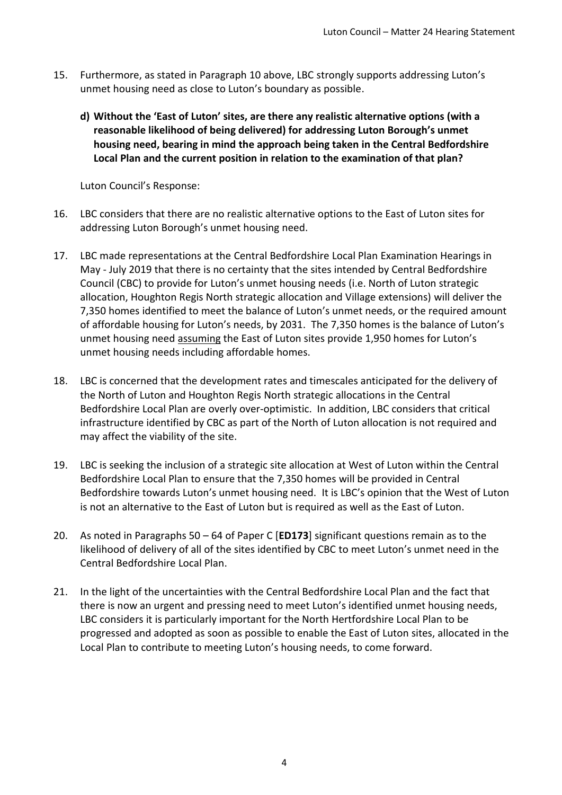- 15. Furthermore, as stated in Paragraph 10 above, LBC strongly supports addressing Luton's unmet housing need as close to Luton's boundary as possible.
	- **d) Without the 'East of Luton' sites, are there any realistic alternative options (with a reasonable likelihood of being delivered) for addressing Luton Borough's unmet housing need, bearing in mind the approach being taken in the Central Bedfordshire Local Plan and the current position in relation to the examination of that plan?**

- 16. LBC considers that there are no realistic alternative options to the East of Luton sites for addressing Luton Borough's unmet housing need.
- 17. LBC made representations at the Central Bedfordshire Local Plan Examination Hearings in May - July 2019 that there is no certainty that the sites intended by Central Bedfordshire Council (CBC) to provide for Luton's unmet housing needs (i.e. North of Luton strategic allocation, Houghton Regis North strategic allocation and Village extensions) will deliver the 7,350 homes identified to meet the balance of Luton's unmet needs, or the required amount of affordable housing for Luton's needs, by 2031. The 7,350 homes is the balance of Luton's unmet housing need assuming the East of Luton sites provide 1,950 homes for Luton's unmet housing needs including affordable homes.
- 18. LBC is concerned that the development rates and timescales anticipated for the delivery of the North of Luton and Houghton Regis North strategic allocations in the Central Bedfordshire Local Plan are overly over-optimistic. In addition, LBC considers that critical infrastructure identified by CBC as part of the North of Luton allocation is not required and may affect the viability of the site.
- 19. LBC is seeking the inclusion of a strategic site allocation at West of Luton within the Central Bedfordshire Local Plan to ensure that the 7,350 homes will be provided in Central Bedfordshire towards Luton's unmet housing need. It is LBC's opinion that the West of Luton is not an alternative to the East of Luton but is required as well as the East of Luton.
- 20. As noted in Paragraphs 50 64 of Paper C [**ED173**] significant questions remain as to the likelihood of delivery of all of the sites identified by CBC to meet Luton's unmet need in the Central Bedfordshire Local Plan.
- 21. In the light of the uncertainties with the Central Bedfordshire Local Plan and the fact that there is now an urgent and pressing need to meet Luton's identified unmet housing needs, LBC considers it is particularly important for the North Hertfordshire Local Plan to be progressed and adopted as soon as possible to enable the East of Luton sites, allocated in the Local Plan to contribute to meeting Luton's housing needs, to come forward.